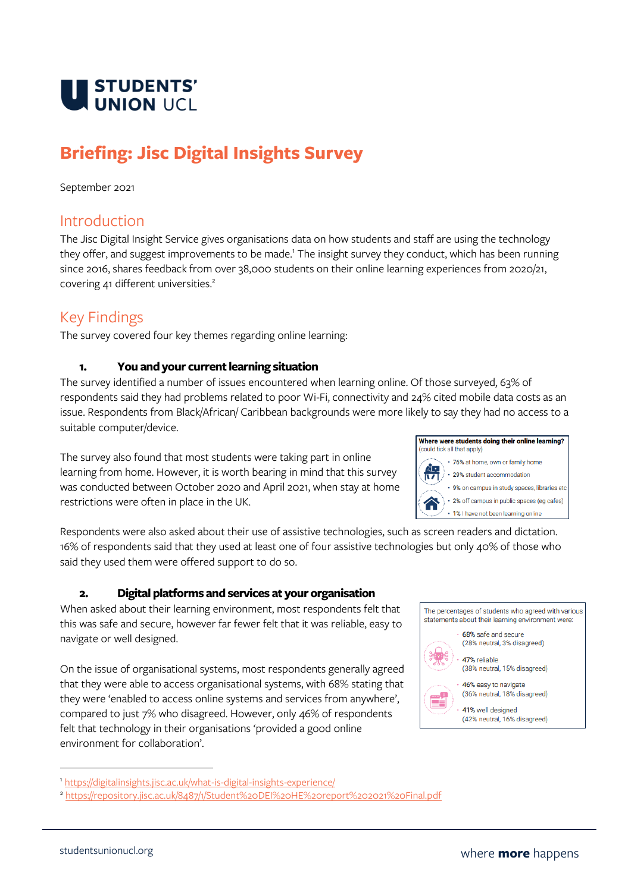

# **Briefing: Jisc Digital Insights Survey**

#### September 2021

### Introduction

The Jisc Digital Insight Service gives organisations data on how students and staff are using the technology they offer, and suggest improvements to be made.<sup>1</sup> The insight survey they conduct, which has been running since 2016, shares feedback from over 38,000 students on their online learning experiences from 2020/21, covering 41 different universities.<sup>2</sup>

## Key Findings

The survey covered four key themes regarding online learning:

#### **1. You and your current learning situation**

The survey identified a number of issues encountered when learning online. Of those surveyed, 63% of respondents said they had problems related to poor Wi-Fi, connectivity and 24% cited mobile data costs as an issue. Respondents from Black/African/ Caribbean backgrounds were more likely to say they had no access to a suitable computer/device.

The survey also found that most students were taking part in online learning from home. However, it is worth bearing in mind that this survey was conducted between October 2020 and April 2021, when stay at home restrictions were often in place in the UK.

Where were students doing their online learning? (could tick all that apply) \* 76% at home, own or family home  $\cdot$  29% student accommodation



• 1% I have not been learning online

Respondents were also asked about their use of assistive technologies, such as screen readers and dictation. 16% of respondents said that they used at least one of four assistive technologies but only 40% of those who said they used them were offered support to do so.

#### **2. Digital platforms and services at your organisation**

When asked about their learning environment, most respondents felt that this was safe and secure, however far fewer felt that it was reliable, easy to navigate or well designed.

On the issue of organisational systems, most respondents generally agreed that they were able to access organisational systems, with 68% stating that they were 'enabled to access online systems and services from anywhere', compared to just 7% who disagreed. However, only 46% of respondents felt that technology in their organisations 'provided a good online environment for collaboration'.

The percentages of students who agreed with various statements about their learning environment were:



68% safe and secure (28% neutral, 3% disagreed)

· 47% reliable (38% neutral, 15% disagreed)



46% easy to navigate (36% neutral, 18% disagreed)



<sup>1</sup> <https://digitalinsights.jisc.ac.uk/what-is-digital-insights-experience/>

<sup>2</sup> <https://repository.jisc.ac.uk/8487/1/Student%20DEI%20HE%20report%202021%20Final.pdf>